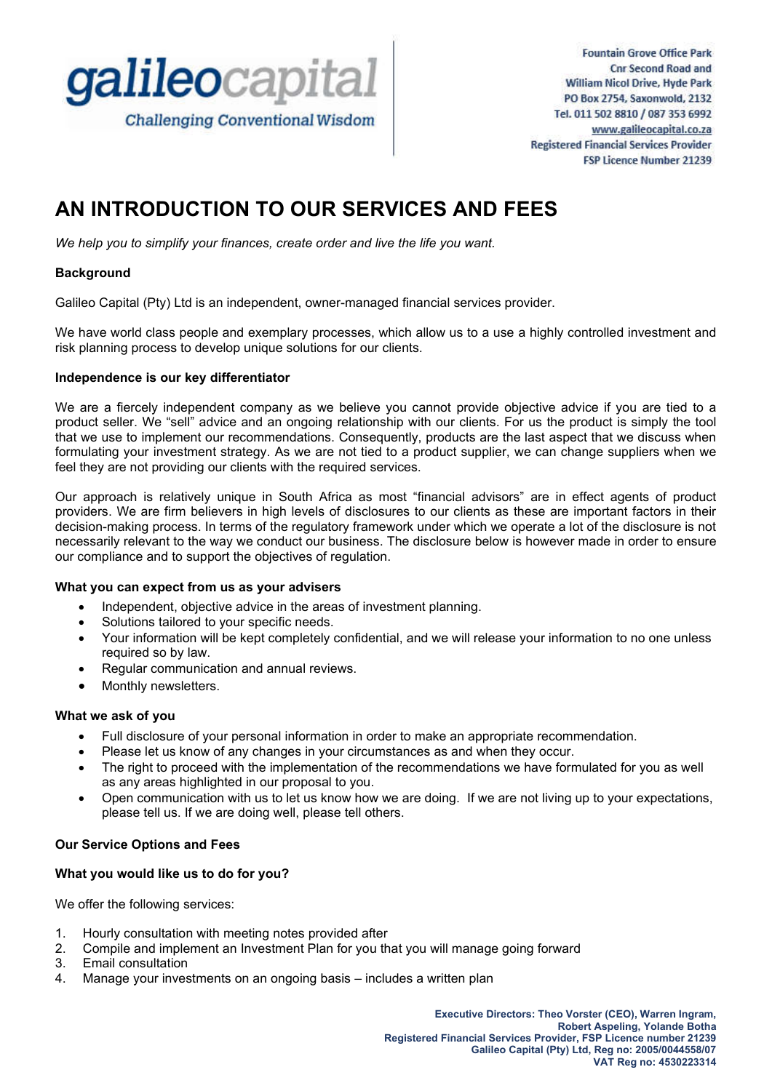

**Fountain Grove Office Park Cnr Second Road and William Nicol Drive, Hyde Park** PO Box 2754, Saxonwold, 2132 Tel. 011 502 8810 / 087 353 6992 www.galileocapital.co.za **Registered Financial Services Provider** FSP Licence Number 21239

# **AN INTRODUCTION TO OUR SERVICES AND FEES**

*We help you to simplify your finances, create order and live the life you want.*

## **Background**

Galileo Capital (Pty) Ltd is an independent, owner-managed financial services provider.

We have world class people and exemplary processes, which allow us to a use a highly controlled investment and risk planning process to develop unique solutions for our clients.

#### **Independence is our key differentiator**

We are a fiercely independent company as we believe you cannot provide objective advice if you are tied to a product seller. We "sell" advice and an ongoing relationship with our clients. For us the product is simply the tool that we use to implement our recommendations. Consequently, products are the last aspect that we discuss when formulating your investment strategy. As we are not tied to a product supplier, we can change suppliers when we feel they are not providing our clients with the required services.

Our approach is relatively unique in South Africa as most "financial advisors" are in effect agents of product providers. We are firm believers in high levels of disclosures to our clients as these are important factors in their decision-making process. In terms of the regulatory framework under which we operate a lot of the disclosure is not necessarily relevant to the way we conduct our business. The disclosure below is however made in order to ensure our compliance and to support the objectives of regulation.

#### **What you can expect from us as your advisers**

- Independent, objective advice in the areas of investment planning.
- Solutions tailored to your specific needs.
- Your information will be kept completely confidential, and we will release your information to no one unless required so by law.
- Regular communication and annual reviews.
- Monthly newsletters.

#### **What we ask of you**

- Full disclosure of your personal information in order to make an appropriate recommendation.
- Please let us know of any changes in your circumstances as and when they occur.
- The right to proceed with the implementation of the recommendations we have formulated for you as well as any areas highlighted in our proposal to you.
- Open communication with us to let us know how we are doing. If we are not living up to your expectations, please tell us. If we are doing well, please tell others.

## **Our Service Options and Fees**

## **What you would like us to do for you?**

We offer the following services:

- 1. Hourly consultation with meeting notes provided after
- 2. Compile and implement an Investment Plan for you that you will manage going forward
- 3. Email consultation
- 4. Manage your investments on an ongoing basis includes a written plan